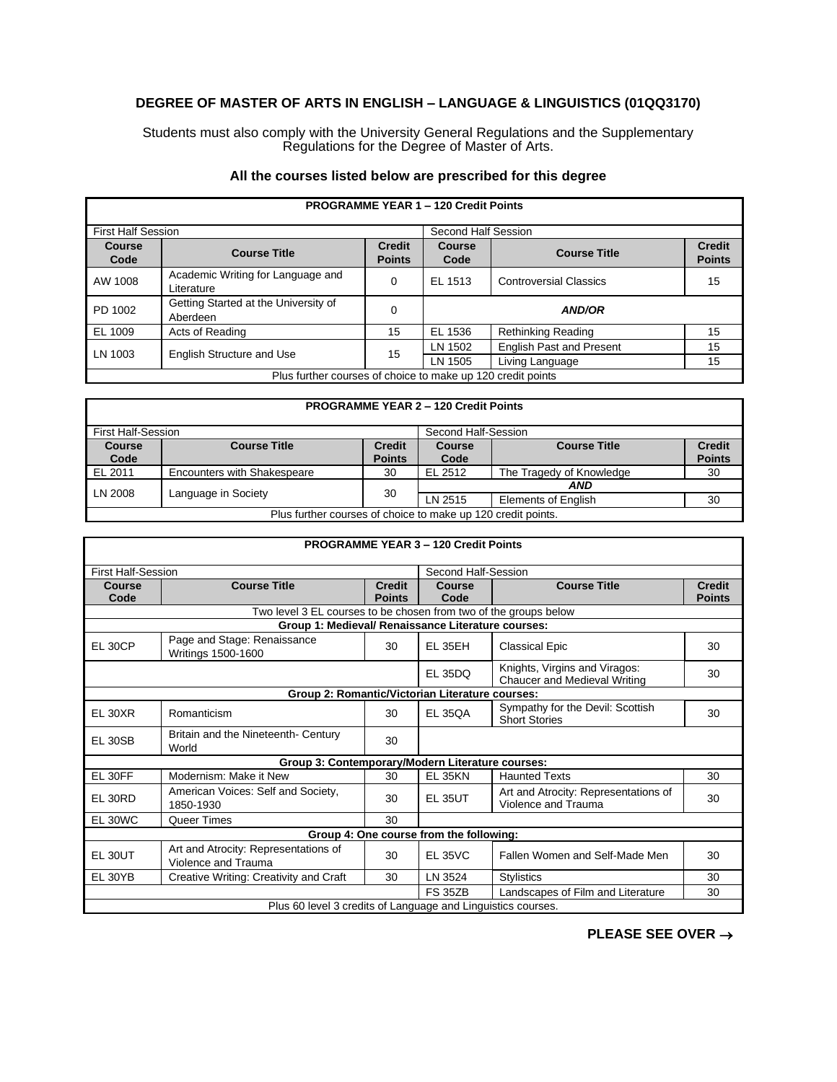## **DEGREE OF MASTER OF ARTS IN ENGLISH – LANGUAGE & LINGUISTICS (01QQ3170)**

Students must also comply with the University General Regulations and the Supplementary Regulations for the Degree of Master of Arts.

## **All the courses listed below are prescribed for this degree**

| <b>PROGRAMME YEAR 1 - 120 Credit Points</b>                 |                                                  |                                |                     |                                 |                                |  |
|-------------------------------------------------------------|--------------------------------------------------|--------------------------------|---------------------|---------------------------------|--------------------------------|--|
| <b>First Half Session</b>                                   |                                                  |                                | Second Half Session |                                 |                                |  |
| <b>Course</b><br>Code                                       | <b>Course Title</b>                              | <b>Credit</b><br><b>Points</b> | Course<br>Code      | <b>Course Title</b>             | <b>Credit</b><br><b>Points</b> |  |
| AW 1008                                                     | Academic Writing for Language and<br>Literature  | 0                              | EL 1513             | <b>Controversial Classics</b>   | 15                             |  |
| PD 1002                                                     | Getting Started at the University of<br>Aberdeen | 0                              |                     | <b>AND/OR</b>                   |                                |  |
| EL 1009                                                     | Acts of Reading                                  | 15                             | EL 1536             | <b>Rethinking Reading</b>       | 15                             |  |
| LN 1003                                                     | English Structure and Use                        | 15                             | LN 1502             | <b>English Past and Present</b> | 15                             |  |
|                                                             |                                                  |                                | LN 1505             | Living Language                 | 15                             |  |
| Plus further courses of choice to make up 120 credit points |                                                  |                                |                     |                                 |                                |  |

| <b>PROGRAMME YEAR 2 - 120 Credit Points</b>                  |                                    |               |                     |                            |               |
|--------------------------------------------------------------|------------------------------------|---------------|---------------------|----------------------------|---------------|
| First Half-Session                                           |                                    |               | Second Half-Session |                            |               |
| <b>Course</b>                                                | <b>Course Title</b>                | <b>Credit</b> | Course              | <b>Course Title</b>        | <b>Credit</b> |
| Code                                                         |                                    | <b>Points</b> | Code                |                            | <b>Points</b> |
| EL 2011                                                      | <b>Encounters with Shakespeare</b> | 30            | EL 2512             | The Tragedy of Knowledge   | 30            |
| LN 2008                                                      | Language in Society                | 30            | AND                 |                            |               |
|                                                              |                                    |               | LN 2515             | <b>Elements of English</b> | 30            |
| Plus further courses of choice to make up 120 credit points. |                                    |               |                     |                            |               |

| <b>PROGRAMME YEAR 3 - 120 Credit Points</b>                  |                                                                  |                                |                |                                                                      |                                |  |  |
|--------------------------------------------------------------|------------------------------------------------------------------|--------------------------------|----------------|----------------------------------------------------------------------|--------------------------------|--|--|
| <b>First Half-Session</b><br>Second Half-Session             |                                                                  |                                |                |                                                                      |                                |  |  |
| Course<br>Code                                               | <b>Course Title</b>                                              | <b>Credit</b><br><b>Points</b> | Course<br>Code | <b>Course Title</b>                                                  | <b>Credit</b><br><b>Points</b> |  |  |
|                                                              | Two level 3 EL courses to be chosen from two of the groups below |                                |                |                                                                      |                                |  |  |
|                                                              | Group 1: Medieval/ Renaissance Literature courses:               |                                |                |                                                                      |                                |  |  |
| <b>EL 30CP</b>                                               | Page and Stage: Renaissance<br>Writings 1500-1600                | 30                             | <b>EL 35EH</b> | <b>Classical Epic</b>                                                | 30                             |  |  |
|                                                              |                                                                  |                                | <b>EL 35DQ</b> | Knights, Virgins and Viragos:<br><b>Chaucer and Medieval Writing</b> | 30                             |  |  |
|                                                              | Group 2: Romantic/Victorian Literature courses:                  |                                |                |                                                                      |                                |  |  |
| <b>EL 30XR</b>                                               | Romanticism                                                      | 30                             | <b>EL 350A</b> | Sympathy for the Devil: Scottish<br><b>Short Stories</b>             | 30                             |  |  |
| <b>EL 30SB</b>                                               | Britain and the Nineteenth- Century<br>World                     | 30                             |                |                                                                      |                                |  |  |
|                                                              | Group 3: Contemporary/Modern Literature courses:                 |                                |                |                                                                      |                                |  |  |
| EL 30FF                                                      | Modernism: Make it New                                           | 30                             | <b>EL 35KN</b> | <b>Haunted Texts</b>                                                 | 30                             |  |  |
| EL 30RD                                                      | American Voices: Self and Society,<br>1850-1930                  | 30                             | <b>EL 35UT</b> | Art and Atrocity: Representations of<br>Violence and Trauma          | 30                             |  |  |
| EL 30WC                                                      | Queer Times                                                      | 30                             |                |                                                                      |                                |  |  |
| Group 4: One course from the following:                      |                                                                  |                                |                |                                                                      |                                |  |  |
| EL 30UT                                                      | Art and Atrocity: Representations of<br>Violence and Trauma      | 30                             | FI 35VC        | Fallen Women and Self-Made Men                                       | 30                             |  |  |
| EL 30YB                                                      | Creative Writing: Creativity and Craft                           | 30                             | LN 3524        | <b>Stylistics</b>                                                    | 30                             |  |  |
|                                                              |                                                                  |                                | <b>FS 35ZB</b> | Landscapes of Film and Literature                                    | 30                             |  |  |
| Plus 60 level 3 credits of Language and Linguistics courses. |                                                                  |                                |                |                                                                      |                                |  |  |

**PLEASE SEE OVER** →